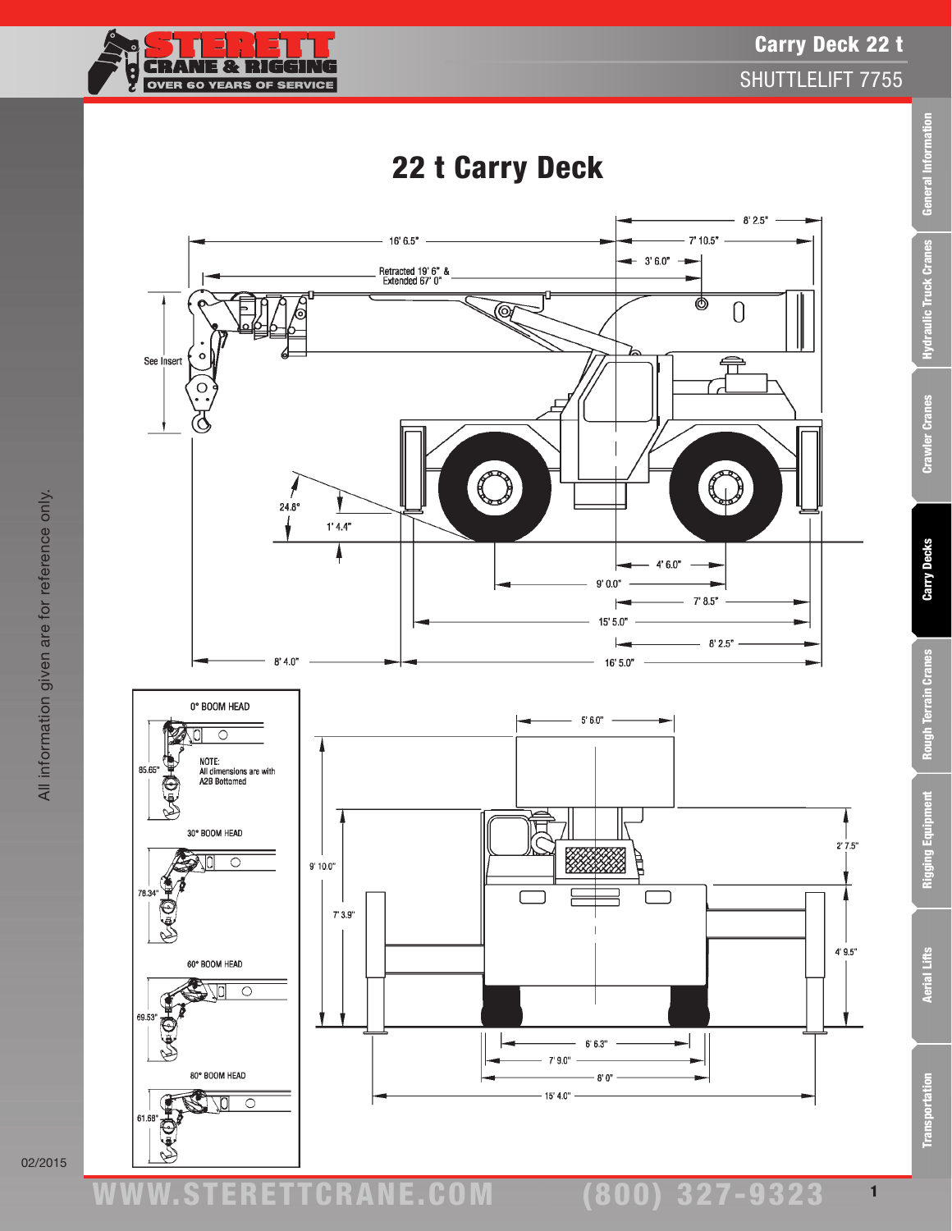## ETTCRANE.C

**CRANE & RIGGIR** OVER 60 YEARS OF SERVICE



 $16'6.5"$ 

Retracted 19' 6" &<br>Extended 67' 0"

02/2015

Carry Deck 22 t

SHUTTLELIFT 7755

 $-8'2.5"$  -

 $\bigcap$ 

 $-7'10.5"$  -

<u>ල</u>

 $-3'6.0'' -$ 

General Information

Rigging Equipment

1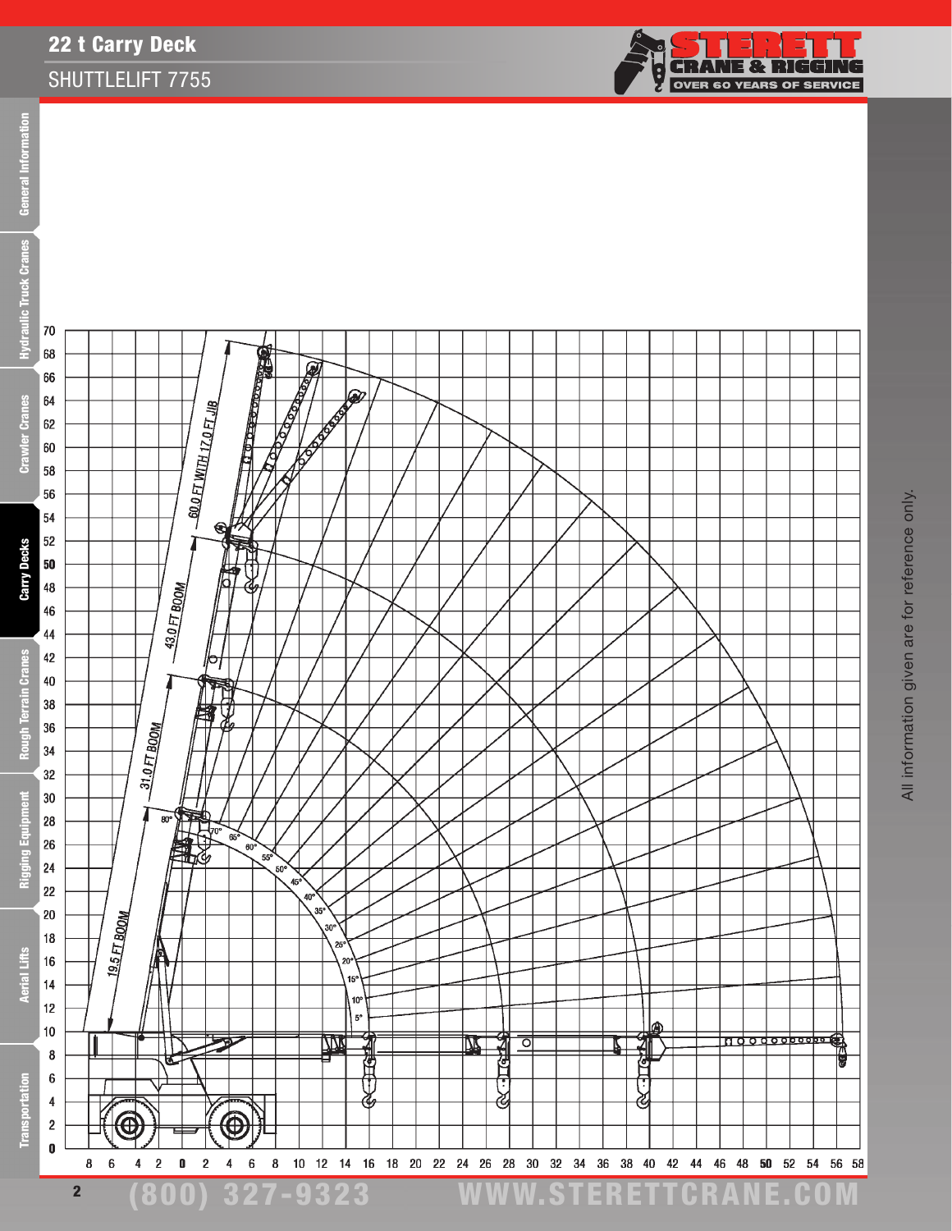## 22 t Carry Deck SHUTTLELIFT 7755



70

68



**CRANE & RIGGING**<br>CRANE & RIGGING Ş

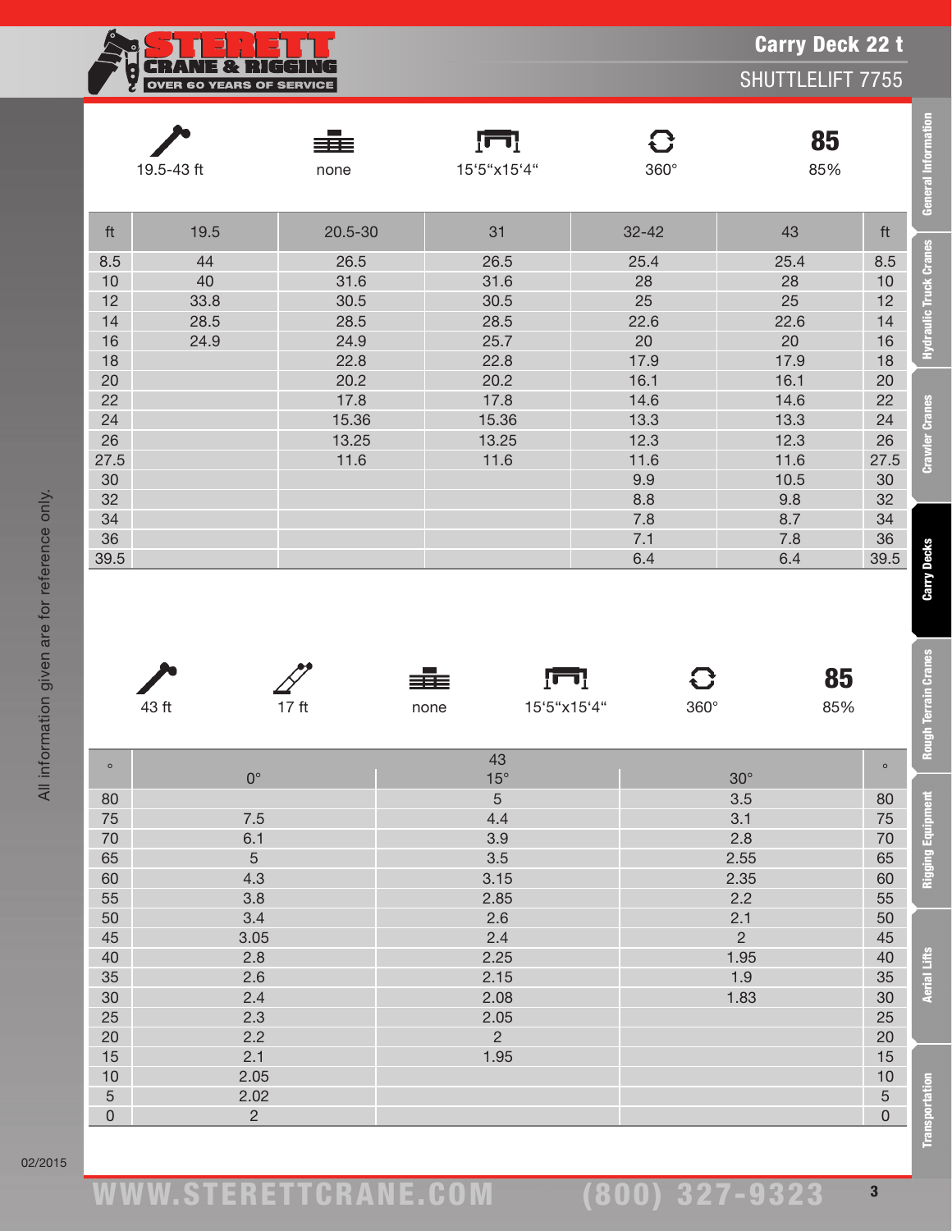| <b>Carry Deck 22 t</b><br>SHUTTLELIFT 7755<br><b>OVER 60 YEARS OF SERVICE</b> |      |             |                   |                             |           |      |  |  |
|-------------------------------------------------------------------------------|------|-------------|-------------------|-----------------------------|-----------|------|--|--|
| 19.5-43 ft                                                                    |      | ≡≡≡<br>none | Įш<br>15'5"x15'4" | $\mathbf{C}$<br>$360^\circ$ | 85<br>85% |      |  |  |
| ft                                                                            | 19.5 | 20.5-30     | 31                | $32 - 42$                   | 43        | ft   |  |  |
| 8.5                                                                           | 44   | 26.5        | 26.5              | 25.4                        | 25.4      | 8.5  |  |  |
| 10                                                                            | 40   | 31.6        | 31.6              | 28                          | 28        | 10   |  |  |
| 12                                                                            | 33.8 | 30.5        | 30.5              | 25                          | 25        | 12   |  |  |
| 14                                                                            | 28.5 | 28.5        | 28.5              | 22.6                        | 22.6      | 14   |  |  |
| 16                                                                            | 24.9 | 24.9        | 25.7              | 20                          | 20        | 16   |  |  |
| 18                                                                            |      | 22.8        | 22.8              | 17.9                        | 17.9      | 18   |  |  |
| 20                                                                            |      | 20.2        | 20.2              | 16.1                        | 16.1      | 20   |  |  |
| 22                                                                            |      | 17.8        | 17.8              | 14.6                        | 14.6      | 22   |  |  |
| 24                                                                            |      | 15.36       | 15.36             | 13.3                        | 13.3      | 24   |  |  |
| 26                                                                            |      | 13.25       | 13.25             | 12.3                        | 12.3      | 26   |  |  |
| 27.5                                                                          |      | 11.6        | 11.6              | 11.6                        | 11.6      | 27.5 |  |  |
| 30                                                                            |      |             |                   | 9.9                         | 10.5      | 30   |  |  |
| 32                                                                            |      |             |                   | 8.8                         | 9.8       | 32   |  |  |
| 34                                                                            |      |             |                   | 7.8                         | 8.7       | 34   |  |  |
| 36                                                                            |      |             |                   | 7.1                         | 7.8       | 36   |  |  |
| 39.5                                                                          |      |             |                   | 6.4                         | 6.4       | 39.5 |  |  |



≢

 4.3 3.15 2.35 60 3.8 2.85 2.2 55 3.4 2.6 2.1 50 45 3.05 3.05 2.4 2.4 2.4 2.4 2.5 2.4 45 2.8 2.25 1.95 40 2.6 2.15 1.9 35 2.4 2.08 30 2.08 30 30 2.3 2.05 25  $2.2$  2.2  $2$  20  $2$  20  $2$  20  $2$  20  $2$  $\vert$  2.1  $\vert$  2.1  $\vert$  1.95  $\vert$  2.1  $\vert$  1.95  $\vert$  2.1  $\vert$  15  $\vert$  15  $\vert$  15  $\hphantom{00}$  2.05  $\hphantom{00}$  2.05  $\hphantom{00}$  2.02 2.02  $\sim$  2.02  $\sim$  2.02  $\sim$  2.02  $\sim$  2.02  $\sim$  2.02  $\sim$  2.02  $\sim$  2.02  $\sim$  2.03  $\sim$  2.03  $\sim$  2.03  $\sim$  2.03  $\sim$  2.03  $\sim$  2.03  $\sim$  2.03  $\sim$  2.04  $\sim$  2.04  $\sim$  2.04  $\sim$  2.04  $\sim$  2.04  $\sim$  2.04  $\sim$  2. 0  $2$  0  $2$ 

 $\sqrt{1}$ 

 $\mathbf{C}$ 

85

Carry Deck 22 t

**General Information** 

**Hydraulic Truck Cranes** 

**Crawler Cranes** 

**Carry Decks** 

**Rough Terrain Cranes** 

Rigging Equipment

|         | 43 ft | 17 <sub>ft</sub> | none       | 15'5"x15'4" | $360^\circ$ | 85%     |
|---------|-------|------------------|------------|-------------|-------------|---------|
|         |       |                  |            |             |             |         |
| $\circ$ |       |                  | 43         |             |             | $\circ$ |
|         |       | nº               | $15^\circ$ |             | $30^\circ$  |         |
| 80      |       |                  | 5          |             | 3.5         | 80      |
| 75      |       | 7.5              | 4.4        |             | 3.1         | 75      |
| 70      |       | 6.1              | 3.9        |             | 2.8         | 70      |
| 65      |       | b                | 3.5        |             | 2.55        | 65      |

All information given are for reference only.

All information given are for reference only.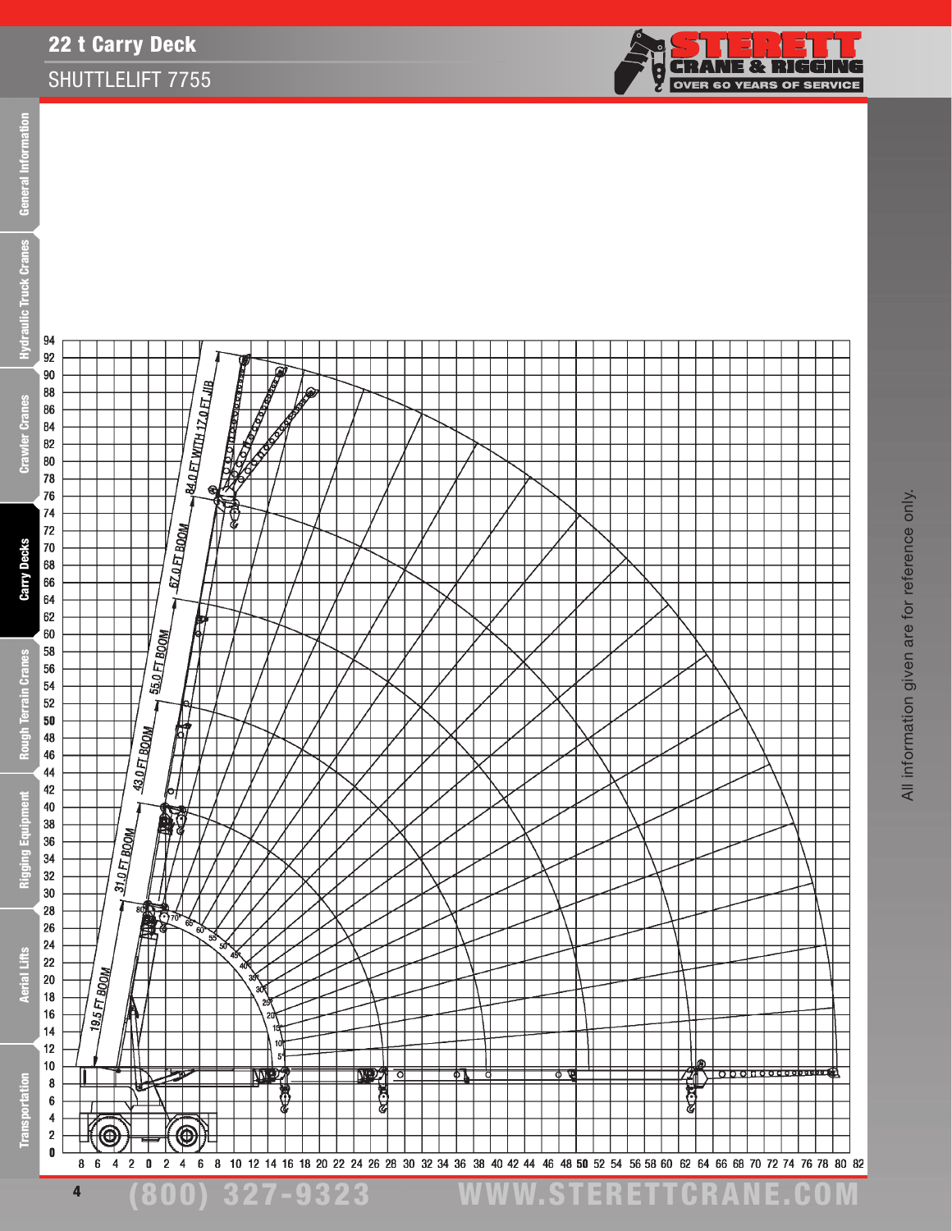## 22 t Carry Deck SHUTTLELIFT 7755



**CRANE & RIGGING**<br>OVER 60 YEARS OF SERVICE

Ş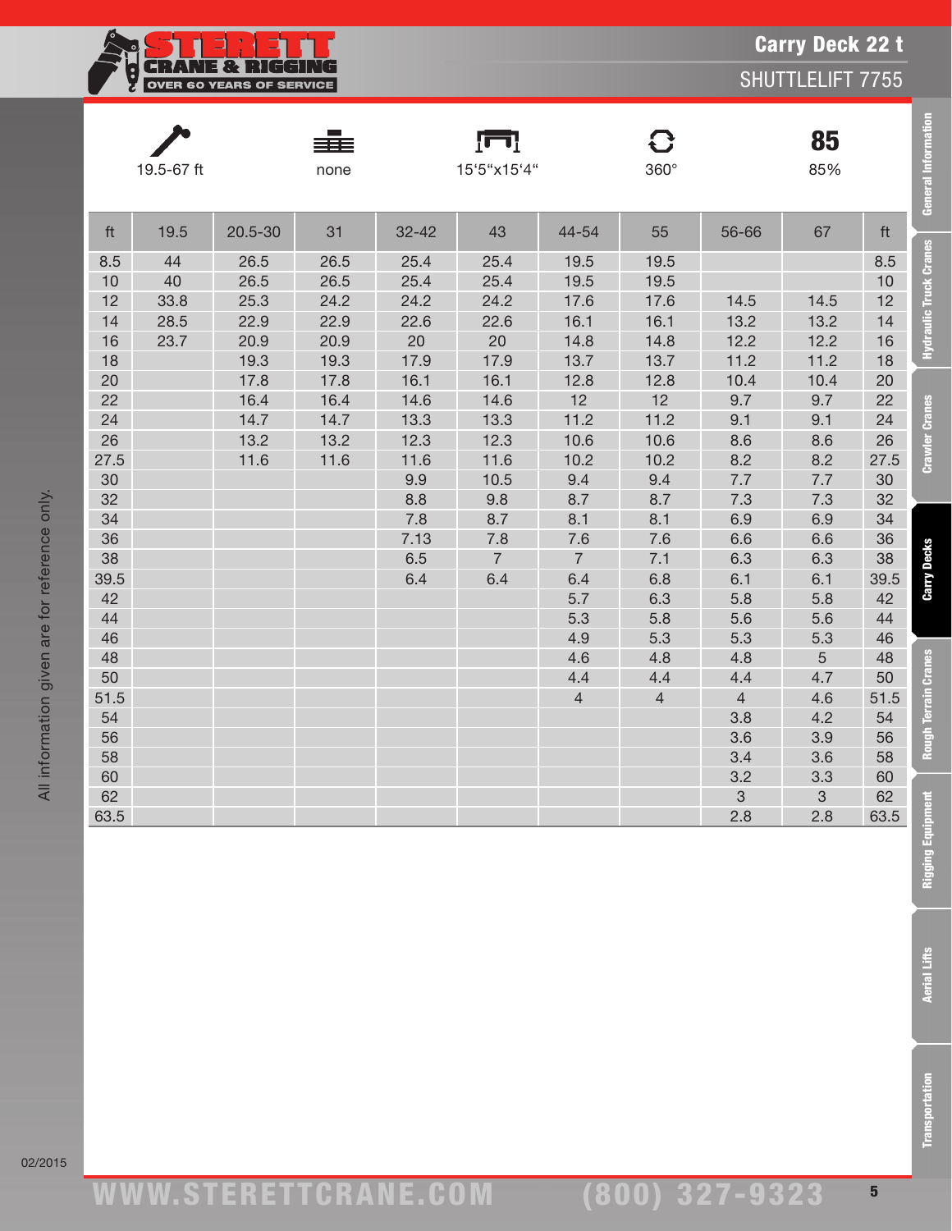| <b>ELECTRIC ENTRE SOLUTION</b><br><b>EXPLOYER 60 YEARS OF SERVICE</b> |  |  |  |  |  |  |  |
|-----------------------------------------------------------------------|--|--|--|--|--|--|--|

<u>n a Ria</u>n

|            | 19.5-67 ft |         | none |             | 15'5"x15'4"    |                | 360°           |                           | 85<br>85%  |            | <b>General Information</b>    |
|------------|------------|---------|------|-------------|----------------|----------------|----------------|---------------------------|------------|------------|-------------------------------|
| ft         | 19.5       | 20.5-30 | 31   | $32 - 42$   | 43             | 44-54          | 55             | 56-66                     | 67         | ft         |                               |
| 8.5        | 44         | 26.5    | 26.5 | 25.4        | 25.4           | 19.5           | 19.5           |                           |            | 8.5        | <b>Hydraulic Truck Cranes</b> |
| 10         | 40         | 26.5    | 26.5 | 25.4        | 25.4           | 19.5           | 19.5           |                           |            | 10         |                               |
| 12         | 33.8       | 25.3    | 24.2 | 24.2        | 24.2           | 17.6           | 17.6           | 14.5                      | 14.5       | 12         |                               |
| 14         | 28.5       | 22.9    | 22.9 | 22.6        | 22.6           | 16.1           | 16.1           | 13.2                      | 13.2       | 14         |                               |
| 16         | 23.7       | 20.9    | 20.9 | $20\,$      | $20\,$         | 14.8           | 14.8           | 12.2                      | 12.2       | 16         |                               |
| 18         |            | 19.3    | 19.3 | 17.9        | 17.9           | 13.7           | 13.7           | 11.2                      | 11.2       | 18         |                               |
| 20         |            | 17.8    | 17.8 | 16.1        | 16.1           | 12.8           | 12.8           | 10.4                      | 10.4       | 20         |                               |
| 22         |            | 16.4    | 16.4 | 14.6        | 14.6           | 12             | 12             | 9.7                       | 9.7        | 22         | <b>Crawler Cranes</b>         |
| 24         |            | 14.7    | 14.7 | 13.3        | 13.3           | 11.2           | 11.2           | 9.1                       | 9.1        | 24         |                               |
| 26         |            | 13.2    | 13.2 | 12.3        | 12.3           | 10.6           | 10.6           | 8.6                       | 8.6        | 26         |                               |
| 27.5<br>30 |            | 11.6    | 11.6 | 11.6<br>9.9 | 11.6<br>10.5   | 10.2<br>9.4    | 10.2<br>9.4    | 8.2<br>$7.7\,$            | 8.2<br>7.7 | 27.5<br>30 |                               |
| 32         |            |         |      | 8.8         | 9.8            | 8.7            | 8.7            | 7.3                       | 7.3        | 32         |                               |
| 34         |            |         |      | 7.8         | 8.7            | 8.1            | 8.1            | 6.9                       | 6.9        | 34         |                               |
| 36         |            |         |      | 7.13        | 7.8            | 7.6            | 7.6            | 6.6                       | 6.6        | 36         |                               |
| 38         |            |         |      | 6.5         | $\overline{7}$ | $\overline{7}$ | 7.1            | 6.3                       | 6.3        | 38         |                               |
| 39.5       |            |         |      | 6.4         | 6.4            | 6.4            | 6.8            | 6.1                       | 6.1        | 39.5       | <b>Carry Decks</b>            |
| 42         |            |         |      |             |                | 5.7            | 6.3            | 5.8                       | 5.8        | 42         |                               |
| 44         |            |         |      |             |                | 5.3            | 5.8            | 5.6                       | 5.6        | 44         |                               |
| 46         |            |         |      |             |                | 4.9            | 5.3            | 5.3                       | 5.3        | 46         |                               |
| 48         |            |         |      |             |                | 4.6            | 4.8            | 4.8                       | $\sqrt{5}$ | 48         |                               |
| 50         |            |         |      |             |                | 4.4            | 4.4            | 4.4                       | 4.7        | 50         |                               |
| 51.5       |            |         |      |             |                | $\overline{4}$ | $\overline{4}$ | $\overline{4}$            | 4.6        | 51.5       | <b>Rough Terrain Cranes</b>   |
| 54         |            |         |      |             |                |                |                | 3.8                       | 4.2        | 54         |                               |
| 56         |            |         |      |             |                |                |                | 3.6                       | 3.9        | 56         |                               |
| 58         |            |         |      |             |                |                |                | 3.4                       | 3.6        | 58         |                               |
| 60         |            |         |      |             |                |                |                | 3.2                       | 3.3        | 60         |                               |
| 62         |            |         |      |             |                |                |                | $\ensuremath{\mathsf{3}}$ | $\sqrt{3}$ | 62         |                               |
| 63.5       |            |         |      |             |                |                |                | 2.8                       | 2.8        | 63.5       |                               |
|            |            |         |      |             |                |                |                |                           |            |            | Rigging Equipment             |
|            |            |         |      |             |                |                |                |                           |            |            | <b>Aerial Lifts</b>           |
|            |            |         |      |             |                |                |                |                           |            |            | <b>Transportation</b>         |